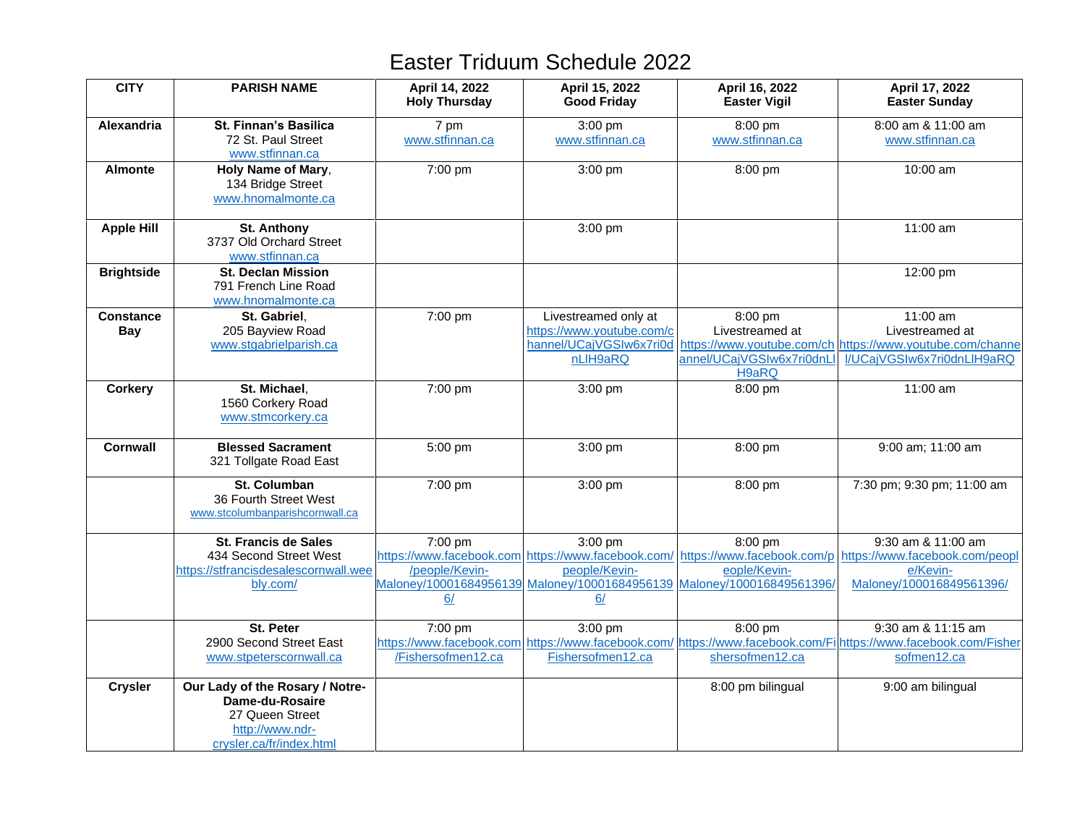| <b>CITY</b>                    | <b>PARISH NAME</b>                                                                                                   | April 14, 2022<br><b>Holy Thursday</b> | April 15, 2022<br><b>Good Friday</b>                                                     | April 16, 2022<br><b>Easter Vigil</b>                                                             | April 17, 2022<br><b>Easter Sunday</b>                                                                                                                                     |
|--------------------------------|----------------------------------------------------------------------------------------------------------------------|----------------------------------------|------------------------------------------------------------------------------------------|---------------------------------------------------------------------------------------------------|----------------------------------------------------------------------------------------------------------------------------------------------------------------------------|
| Alexandria                     | St. Finnan's Basilica<br>72 St. Paul Street<br>www.stfinnan.ca                                                       | 7 pm<br>www.stfinnan.ca                | 3:00 pm<br>www.stfinnan.ca                                                               | 8:00 pm<br>www.stfinnan.ca                                                                        | 8:00 am & 11:00 am<br>www.stfinnan.ca                                                                                                                                      |
| <b>Almonte</b>                 | Holy Name of Mary,<br>134 Bridge Street<br>www.hnomalmonte.ca                                                        | 7:00 pm                                | 3:00 pm                                                                                  | 8:00 pm                                                                                           | 10:00 am                                                                                                                                                                   |
| <b>Apple Hill</b>              | <b>St. Anthony</b><br>3737 Old Orchard Street<br>www.stfinnan.ca                                                     |                                        | 3:00 pm                                                                                  |                                                                                                   | 11:00 am                                                                                                                                                                   |
| <b>Brightside</b>              | <b>St. Declan Mission</b><br>791 French Line Road<br>www.hnomalmonte.ca                                              |                                        |                                                                                          |                                                                                                   | 12:00 pm                                                                                                                                                                   |
| <b>Constance</b><br><b>Bay</b> | St. Gabriel.<br>205 Bayview Road<br>www.stgabrielparish.ca                                                           | 7:00 pm                                | Livestreamed only at<br>https://www.youtube.com/c<br>hannel/UCajVGSIw6x7ri0d<br>nLIH9aRQ | 8:00 pm<br>Livestreamed at<br>annel/UCajVGSIw6x7ri0dnLl<br>H9aRQ                                  | 11:00 am<br>Livestreamed at<br>https://www.youtube.com/ch https://www.youtube.com/channe<br>I/UCajVGSIw6x7ri0dnLlH9aRQ                                                     |
| <b>Corkery</b>                 | St. Michael.<br>1560 Corkery Road<br>www.stmcorkery.ca                                                               | 7:00 pm                                | 3:00 pm                                                                                  | 8:00 pm                                                                                           | 11:00 am                                                                                                                                                                   |
| <b>Cornwall</b>                | <b>Blessed Sacrament</b><br>321 Tollgate Road East                                                                   | 5:00 pm                                | 3:00 pm                                                                                  | 8:00 pm                                                                                           | 9:00 am; 11:00 am                                                                                                                                                          |
|                                | St. Columban<br>36 Fourth Street West<br>www.stcolumbanparishcornwall.ca                                             | 7:00 pm                                | 3:00 pm                                                                                  | 8:00 pm                                                                                           | 7:30 pm; 9:30 pm; 11:00 am                                                                                                                                                 |
|                                | <b>St. Francis de Sales</b><br>434 Second Street West<br>https://stfrancisdesalescornwall.wee<br>bly.com/            | 7:00 pm<br>/people/Kevin-<br>6/        | 3:00 pm<br>people/Kevin-<br>6/                                                           | 8:00 pm<br>eople/Kevin-<br>Maloney/10001684956139 Maloney/10001684956139 Maloney/100016849561396/ | 9:30 am & 11:00 am<br>https://www.facebook.com/https://www.facebook.com/ https://www.facebook.com/p https://www.facebook.com/peopl<br>e/Kevin-<br>Maloney/100016849561396/ |
|                                | St. Peter<br>2900 Second Street East<br>www.stpeterscornwall.ca                                                      | 7:00 pm<br>/Fishersofmen12.ca          | 3:00 pm<br>Fishersofmen12.ca                                                             | 8:00 pm<br>shersofmen12.ca                                                                        | 9:30 am & 11:15 am<br>https://www.facebook.com https://www.facebook.com/ https://www.facebook.com/Fi https://www.facebook.com/Fisher<br>sofmen12.ca                        |
| <b>Crysler</b>                 | Our Lady of the Rosary / Notre-<br>Dame-du-Rosaire<br>27 Queen Street<br>http://www.ndr-<br>crysler.ca/fr/index.html |                                        |                                                                                          | 8:00 pm bilingual                                                                                 | 9:00 am bilingual                                                                                                                                                          |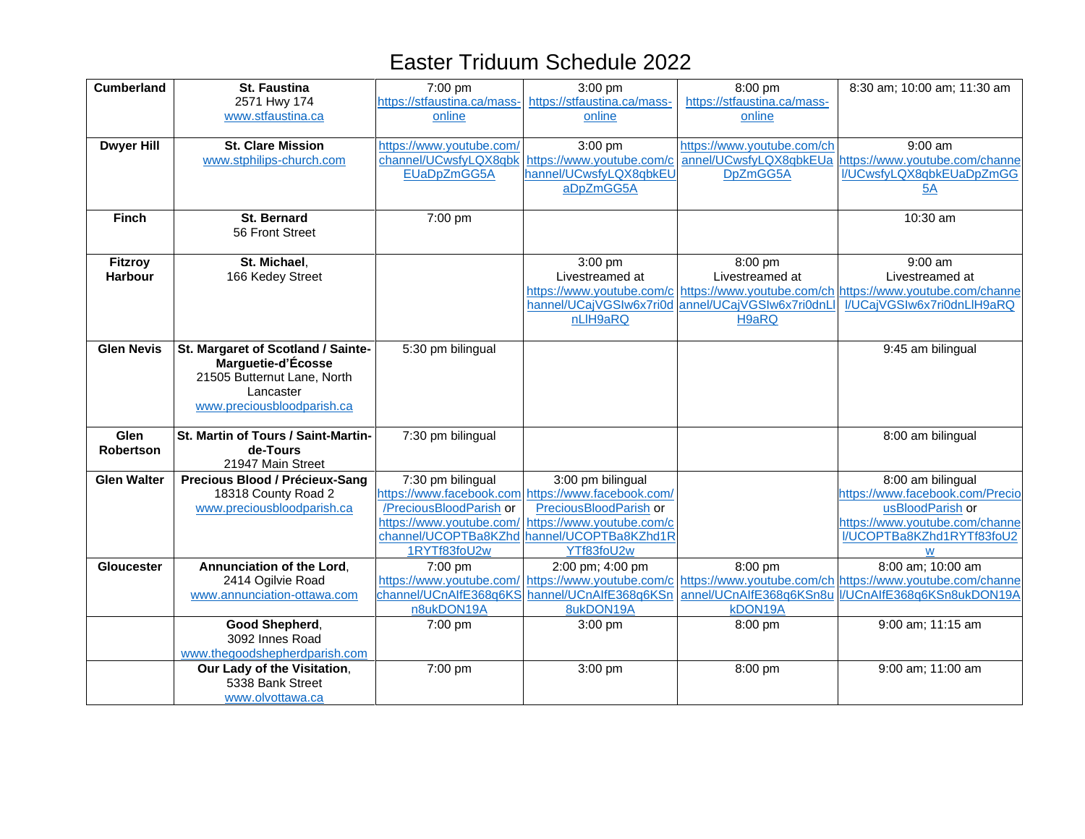| <b>Cumberland</b>  | <b>St. Faustina</b>                 | 7:00 pm                     | 3:00 pm                                            | 8:00 pm                     | 8:30 am; 10:00 am; 11:30 am                                                         |
|--------------------|-------------------------------------|-----------------------------|----------------------------------------------------|-----------------------------|-------------------------------------------------------------------------------------|
|                    | 2571 Hwy 174                        | https://stfaustina.ca/mass- | https://stfaustina.ca/mass-                        | https://stfaustina.ca/mass- |                                                                                     |
|                    | www.stfaustina.ca                   | online                      | online                                             | online                      |                                                                                     |
|                    |                                     |                             |                                                    |                             |                                                                                     |
| <b>Dwyer Hill</b>  | St. Clare Mission                   | https://www.youtube.com/    | 3:00 pm                                            | https://www.youtube.com/ch  | $9:00$ am                                                                           |
|                    | www.stphilips-church.com            |                             | channel/UCwsfyLQX8qbk https://www.youtube.com/c    |                             | annel/UCwsfyLQX8qbkEUa https://www.youtube.com/channe                               |
|                    |                                     | EUaDpZmGG5A                 | hannel/UCwsfyLQX8qbkEU                             | DpZmGG5A                    | I/UCwsfyLQX8qbkEUaDpZmGG                                                            |
|                    |                                     |                             | aDpZmGG5A                                          |                             | 5A                                                                                  |
|                    |                                     |                             |                                                    |                             |                                                                                     |
| <b>Finch</b>       | <b>St. Bernard</b>                  | 7:00 pm                     |                                                    |                             | 10:30 am                                                                            |
|                    | 56 Front Street                     |                             |                                                    |                             |                                                                                     |
|                    |                                     |                             |                                                    |                             |                                                                                     |
| <b>Fitzroy</b>     | St. Michael.                        |                             | 3:00 pm                                            | 8:00 pm                     | 9:00 am                                                                             |
| <b>Harbour</b>     | 166 Kedey Street                    |                             | Livestreamed at                                    | Livestreamed at             | Livestreamed at                                                                     |
|                    |                                     |                             | https://www.youtube.com/c                          |                             | https://www.youtube.com/ch https://www.youtube.com/channe                           |
|                    |                                     |                             | hannel/UCajVGSIw6x7ri0d                            | annel/UCajVGSIw6x7ri0dnLl   | I/UCajVGSIw6x7ri0dnLlH9aRQ                                                          |
|                    |                                     |                             | nLIH9aRQ                                           | H9aRQ                       |                                                                                     |
|                    |                                     |                             |                                                    |                             |                                                                                     |
| <b>Glen Nevis</b>  | St. Margaret of Scotland / Sainte-  | 5:30 pm bilingual           |                                                    |                             | 9:45 am bilingual                                                                   |
|                    | Marguetie-d'Écosse                  |                             |                                                    |                             |                                                                                     |
|                    | 21505 Butternut Lane, North         |                             |                                                    |                             |                                                                                     |
|                    |                                     |                             |                                                    |                             |                                                                                     |
|                    | Lancaster                           |                             |                                                    |                             |                                                                                     |
|                    | www.preciousbloodparish.ca          |                             |                                                    |                             |                                                                                     |
|                    |                                     |                             |                                                    |                             |                                                                                     |
| Glen               | St. Martin of Tours / Saint-Martin- | 7:30 pm bilingual           |                                                    |                             | 8:00 am bilingual                                                                   |
| <b>Robertson</b>   | de-Tours                            |                             |                                                    |                             |                                                                                     |
|                    | 21947 Main Street                   |                             |                                                    |                             |                                                                                     |
| <b>Glen Walter</b> | Precious Blood / Précieux-Sang      | 7:30 pm bilingual           | 3:00 pm bilingual                                  |                             | 8:00 am bilingual                                                                   |
|                    | 18318 County Road 2                 |                             | https://www.facebook.com https://www.facebook.com/ |                             | https://www.facebook.com/Precio                                                     |
|                    | www.preciousbloodparish.ca          | /PreciousBloodParish or     | PreciousBloodParish or                             |                             | usBloodParish or                                                                    |
|                    |                                     | https://www.youtube.com/    | https://www.youtube.com/c                          |                             | https://www.youtube.com/channe                                                      |
|                    |                                     | channel/UCOPTBa8KZhd        | hannel/UCOPTBa8KZhd1R                              |                             | I/UCOPTBa8KZhd1RYTf83foU2                                                           |
|                    |                                     | 1RYTf83foU2w                | YTf83foU2w                                         |                             | W                                                                                   |
| Gloucester         | Annunciation of the Lord,           | 7:00 pm                     | 2:00 pm; 4:00 pm                                   | 8:00 pm                     | 8:00 am; 10:00 am                                                                   |
|                    | 2414 Ogilvie Road                   | https://www.youtube.com/    |                                                    |                             | https://www.youtube.com/c https://www.youtube.com/ch https://www.youtube.com/channe |
|                    | www.annunciation-ottawa.com         |                             | channel/UCnAlfE368q6KS hannel/UCnAlfE368q6KSn      |                             | annel/UCnAlfE368q6KSn8u I/UCnAlfE368q6KSn8ukDON19A                                  |
|                    |                                     | n8ukDON19A                  | 8ukDON19A                                          | kDON19A                     |                                                                                     |
|                    | Good Shepherd,                      | 7:00 pm                     | 3:00 pm                                            | 8:00 pm                     | 9:00 am; 11:15 am                                                                   |
|                    | 3092 Innes Road                     |                             |                                                    |                             |                                                                                     |
|                    | www.thegoodshepherdparish.com       |                             |                                                    |                             |                                                                                     |
|                    | Our Lady of the Visitation,         | 7:00 pm                     | $3:00$ pm                                          | 8:00 pm                     | 9:00 am; 11:00 am                                                                   |
|                    | 5338 Bank Street                    |                             |                                                    |                             |                                                                                     |
|                    | www.olvottawa.ca                    |                             |                                                    |                             |                                                                                     |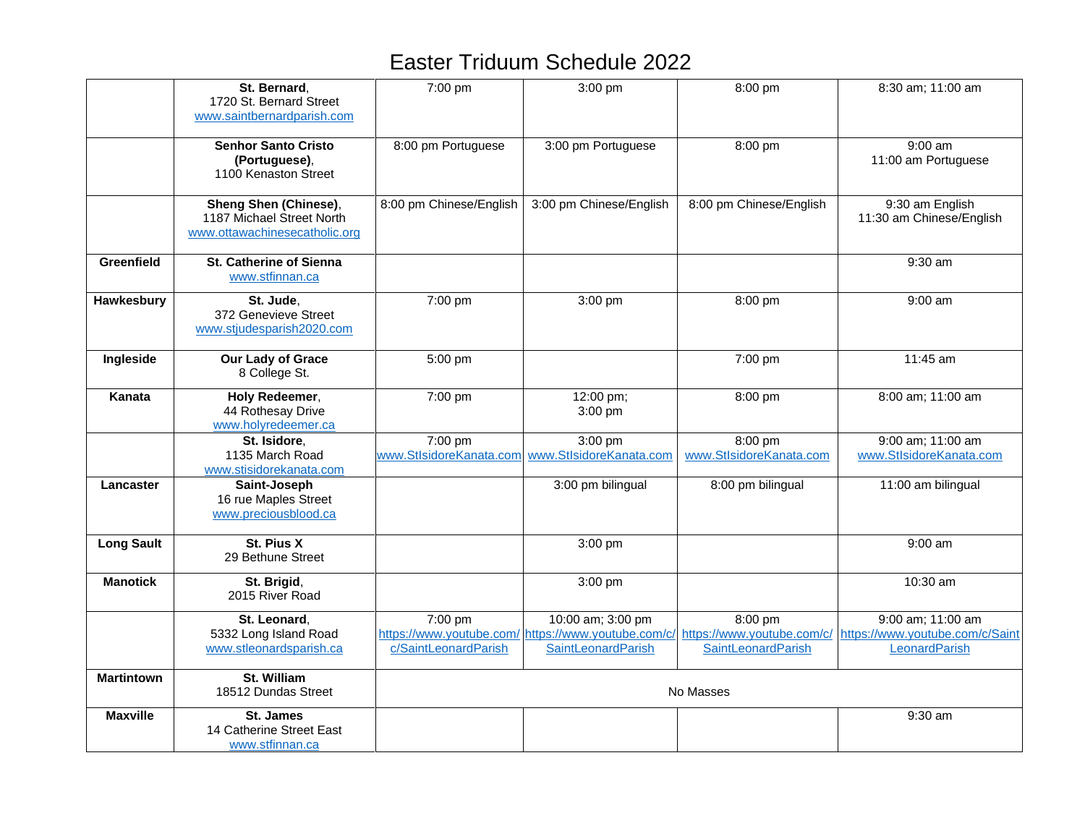|                   | St. Bernard.<br>1720 St. Bernard Street<br>www.saintbernardparish.com               | 7:00 pm                            | 3:00 pm                                 | 8:00 pm                            | 8:30 am; 11:00 am                                                                                                                                    |
|-------------------|-------------------------------------------------------------------------------------|------------------------------------|-----------------------------------------|------------------------------------|------------------------------------------------------------------------------------------------------------------------------------------------------|
|                   | <b>Senhor Santo Cristo</b><br>(Portuguese),<br>1100 Kenaston Street                 | 8:00 pm Portuguese                 | 3:00 pm Portuguese                      | 8:00 pm                            | $9:00$ am<br>11:00 am Portuguese                                                                                                                     |
|                   | Sheng Shen (Chinese),<br>1187 Michael Street North<br>www.ottawachinesecatholic.org | 8:00 pm Chinese/English            | 3:00 pm Chinese/English                 | 8:00 pm Chinese/English            | 9:30 am English<br>11:30 am Chinese/English                                                                                                          |
| Greenfield        | <b>St. Catherine of Sienna</b><br>www.stfinnan.ca                                   |                                    |                                         |                                    | $9:30$ am                                                                                                                                            |
| Hawkesbury        | St. Jude,<br>372 Genevieve Street<br>www.stjudesparish2020.com                      | 7:00 pm                            | 3:00 pm                                 | 8:00 pm                            | $9:00$ am                                                                                                                                            |
| Ingleside         | Our Lady of Grace<br>8 College St.                                                  | 5:00 pm                            |                                         | 7:00 pm                            | 11:45 am                                                                                                                                             |
| Kanata            | Holy Redeemer,<br>44 Rothesay Drive<br>www.holyredeemer.ca                          | 7:00 pm                            | 12:00 pm;<br>3:00 pm                    | 8:00 pm                            | 8:00 am; 11:00 am                                                                                                                                    |
|                   | St. Isidore.<br>1135 March Road<br>www.stisidorekanata.com                          | 7:00 pm<br>www.StlsidoreKanata.com | 3:00 pm<br>www.StlsidoreKanata.com      | 8:00 pm<br>www.StlsidoreKanata.com | 9:00 am; 11:00 am<br>www.StlsidoreKanata.com                                                                                                         |
| Lancaster         | Saint-Joseph<br>16 rue Maples Street<br>www.preciousblood.ca                        |                                    | 3:00 pm bilingual                       | 8:00 pm bilingual                  | 11:00 am bilingual                                                                                                                                   |
| <b>Long Sault</b> | St. Pius X<br>29 Bethune Street                                                     |                                    | 3:00 pm                                 |                                    | $9:00$ am                                                                                                                                            |
| <b>Manotick</b>   | St. Brigid,<br>2015 River Road                                                      |                                    | 3:00 pm                                 |                                    | 10:30 am                                                                                                                                             |
|                   | St. Leonard,<br>5332 Long Island Road<br>www.stleonardsparish.ca                    | 7:00 pm<br>c/SaintLeonardParish    | 10:00 am; 3:00 pm<br>SaintLeonardParish | 8:00 pm<br>SaintLeonardParish      | 9:00 am; 11:00 am<br>https://www.youtube.com/ https://www.youtube.com/c/ https://www.youtube.com/c/ https://www.youtube.com/c/Saint<br>LeonardParish |
| <b>Martintown</b> | St. William<br>18512 Dundas Street                                                  |                                    |                                         | No Masses                          |                                                                                                                                                      |
| <b>Maxville</b>   | St. James<br>14 Catherine Street East<br>www.stfinnan.ca                            |                                    |                                         |                                    | 9:30 am                                                                                                                                              |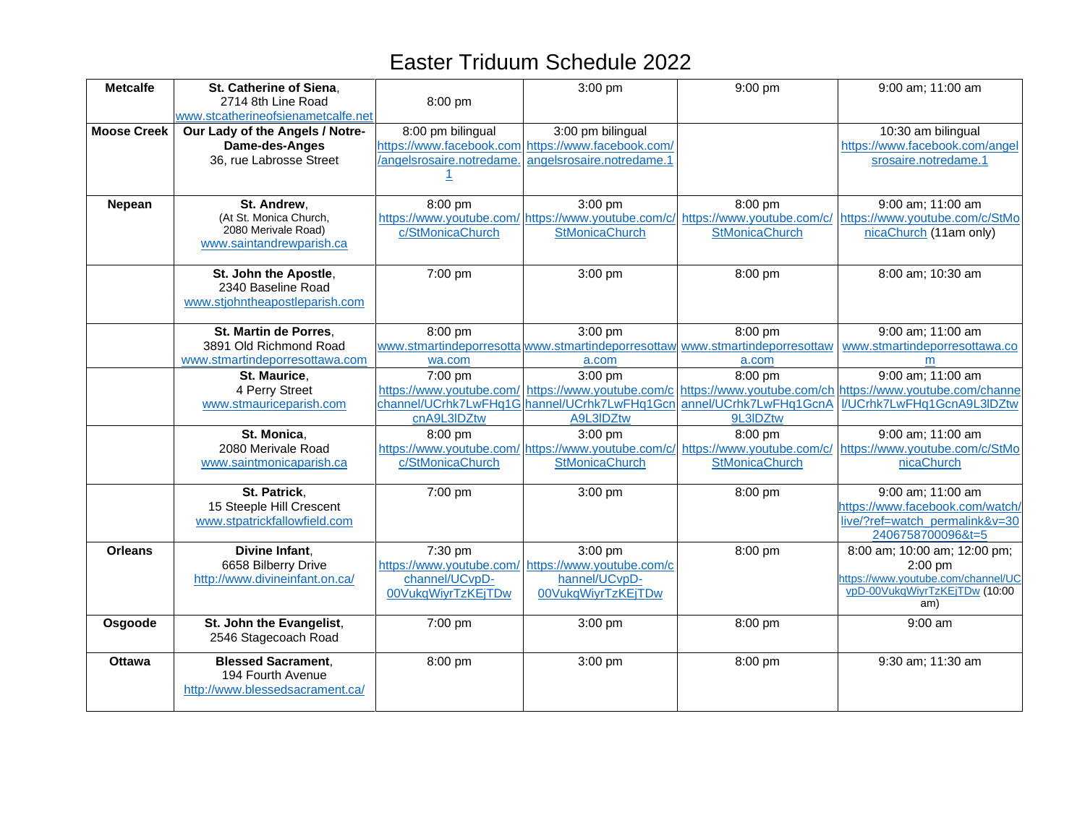| <b>Metcalfe</b>    | St. Catherine of Siena,<br>2714 8th Line Road                                            | 8:00 pm                                                                     | 3:00 pm                                                                                              | 9:00 pm                                                                                          | 9:00 am; 11:00 am                                                                                                                                                                      |
|--------------------|------------------------------------------------------------------------------------------|-----------------------------------------------------------------------------|------------------------------------------------------------------------------------------------------|--------------------------------------------------------------------------------------------------|----------------------------------------------------------------------------------------------------------------------------------------------------------------------------------------|
|                    | www.stcatherineofsienametcalfe.net                                                       |                                                                             |                                                                                                      |                                                                                                  |                                                                                                                                                                                        |
| <b>Moose Creek</b> | Our Lady of the Angels / Notre-<br>Dame-des-Anges<br>36, rue Labrosse Street             | 8:00 pm bilingual<br>/angelsrosaire.notredame.                              | 3:00 pm bilingual<br>https://www.facebook.com https://www.facebook.com/<br>angelsrosaire.notredame.1 |                                                                                                  | 10:30 am bilingual<br>https://www.facebook.com/angel<br>srosaire.notredame.1                                                                                                           |
|                    |                                                                                          |                                                                             |                                                                                                      |                                                                                                  |                                                                                                                                                                                        |
| Nepean             | St. Andrew,<br>(At St. Monica Church,<br>2080 Merivale Road)<br>www.saintandrewparish.ca | 8:00 pm<br>c/StMonicaChurch                                                 | 3:00 pm<br><b>StMonicaChurch</b>                                                                     | 8:00 pm<br><b>StMonicaChurch</b>                                                                 | 9:00 am; 11:00 am<br>https://www.youtube.com/ https://www.youtube.com/c/ https://www.youtube.com/c/ https://www.youtube.com/c/StMo<br>nicaChurch (11am only)                           |
|                    | St. John the Apostle,<br>2340 Baseline Road<br>www.stjohntheapostleparish.com            | 7:00 pm                                                                     | 3:00 pm                                                                                              | 8:00 pm                                                                                          | 8:00 am; 10:30 am                                                                                                                                                                      |
|                    | St. Martin de Porres,<br>3891 Old Richmond Road<br>www.stmartindeporresottawa.com        | 8:00 pm<br>wa.com                                                           | 3:00 pm<br>a.com                                                                                     | 8:00 pm<br>www.stmartindeporresotta www.stmartindeporresottaw www.stmartindeporresottaw<br>a.com | 9:00 am; 11:00 am<br>www.stmartindeporresottawa.co<br>m                                                                                                                                |
|                    | St. Maurice.<br>4 Perry Street<br>www.stmauriceparish.com                                | 7:00 pm<br>cnA9L3IDZtw                                                      | 3:00 pm<br>channel/UCrhk7LwFHq1G hannel/UCrhk7LwFHq1Gcn<br>A9L3IDZtw                                 | 8:00 pm<br>9L3IDZtw                                                                              | 9:00 am; 11:00 am<br>https://www.youtube.com/ https://www.youtube.com/c https://www.youtube.com/ch https://www.youtube.com/channe<br>annel/UCrhk7LwFHq1GcnA I/UCrhk7LwFHq1GcnA9L3IDZtw |
|                    | St. Monica,<br>2080 Merivale Road<br>www.saintmonicaparish.ca                            | 8:00 pm<br>c/StMonicaChurch                                                 | 3:00 pm<br><b>StMonicaChurch</b>                                                                     | 8:00 pm<br>StMonicaChurch                                                                        | 9:00 am; 11:00 am<br>https://www.youtube.com/ https://www.youtube.com/c/ https://www.youtube.com/c/ https://www.youtube.com/c/StMo<br>nicaChurch                                       |
|                    | St. Patrick,<br>15 Steeple Hill Crescent<br>www.stpatrickfallowfield.com                 | 7:00 pm                                                                     | 3:00 pm                                                                                              | 8:00 pm                                                                                          | 9:00 am; 11:00 am<br>https://www.facebook.com/watch/<br>live/?ref=watch_permalink&v=30<br>2406758700096&t=5                                                                            |
| <b>Orleans</b>     | Divine Infant,<br>6658 Bilberry Drive<br>http://www.divineinfant.on.ca/                  | 7:30 pm<br>https://www.youtube.com/<br>channel/UCvpD-<br>00VukqWiyrTzKEjTDw | 3:00 pm<br>https://www.youtube.com/c<br>hannel/UCvpD-<br>00VukqWiyrTzKEjTDw                          | 8:00 pm                                                                                          | 8:00 am; 10:00 am; 12:00 pm;<br>$2:00$ pm<br>https://www.youtube.com/channel/UC<br>vpD-00VukqWiyrTzKEjTDw (10:00<br>am)                                                                |
| Osgoode            | St. John the Evangelist,<br>2546 Stagecoach Road                                         | 7:00 pm                                                                     | 3:00 pm                                                                                              | 8:00 pm                                                                                          | $9:00$ am                                                                                                                                                                              |
| <b>Ottawa</b>      | <b>Blessed Sacrament,</b><br>194 Fourth Avenue<br>http://www.blessedsacrament.ca/        | 8:00 pm                                                                     | 3:00 pm                                                                                              | 8:00 pm                                                                                          | 9:30 am; 11:30 am                                                                                                                                                                      |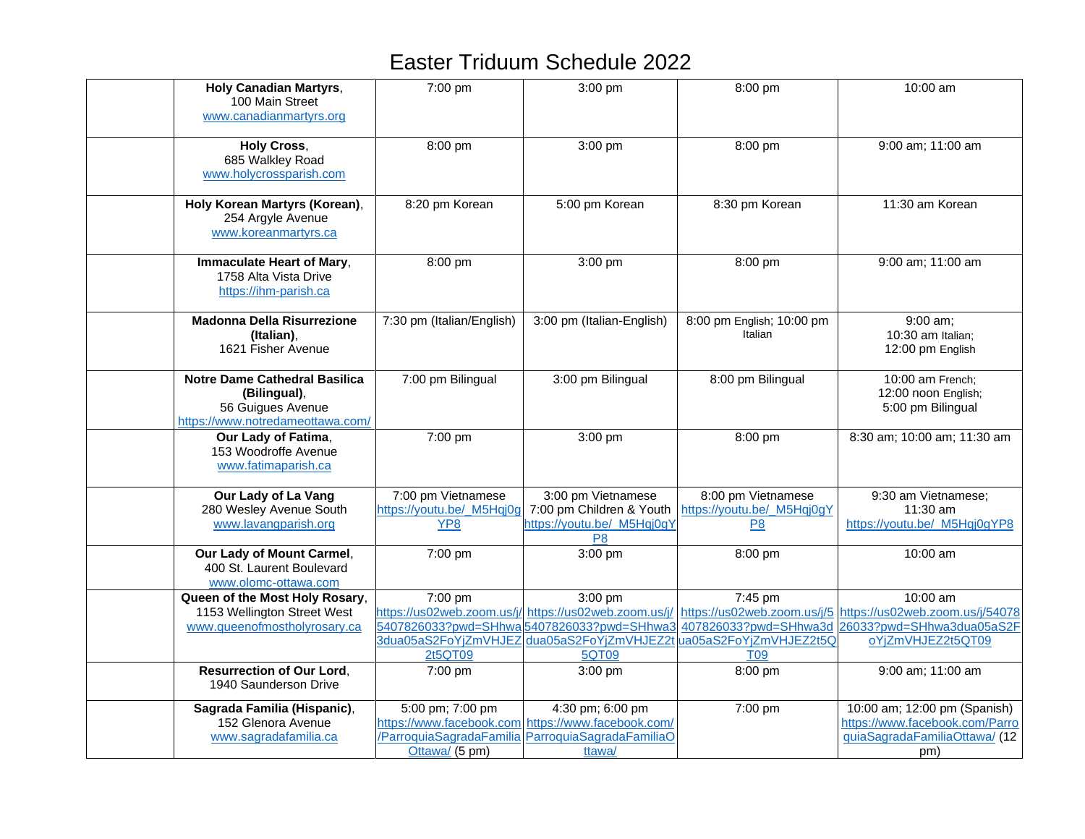| <b>Holy Canadian Martyrs,</b><br>100 Main Street<br>www.canadianmartyrs.org                                   | 7:00 pm                                                            | 3:00 pm                                                                                                                               | 8:00 pm                                                                                                                  | 10:00 am                                                                                                                  |
|---------------------------------------------------------------------------------------------------------------|--------------------------------------------------------------------|---------------------------------------------------------------------------------------------------------------------------------------|--------------------------------------------------------------------------------------------------------------------------|---------------------------------------------------------------------------------------------------------------------------|
| <b>Holy Cross,</b><br>685 Walkley Road<br>www.holycrossparish.com                                             | 8:00 pm                                                            | 3:00 pm                                                                                                                               | 8:00 pm                                                                                                                  | 9:00 am; 11:00 am                                                                                                         |
| Holy Korean Martyrs (Korean),<br>254 Argyle Avenue<br>www.koreanmartyrs.ca                                    | 8:20 pm Korean                                                     | 5:00 pm Korean                                                                                                                        | 8:30 pm Korean                                                                                                           | 11:30 am Korean                                                                                                           |
| Immaculate Heart of Mary,<br>1758 Alta Vista Drive<br>https://ihm-parish.ca                                   | 8:00 pm                                                            | 3:00 pm                                                                                                                               | 8:00 pm                                                                                                                  | 9:00 am; 11:00 am                                                                                                         |
| <b>Madonna Della Risurrezione</b><br>(Italian),<br>1621 Fisher Avenue                                         | 7:30 pm (Italian/English)                                          | 3:00 pm (Italian-English)                                                                                                             | 8:00 pm English; 10:00 pm<br>Italian                                                                                     | 9:00 am;<br>10:30 am Italian;<br>12:00 pm English                                                                         |
| <b>Notre Dame Cathedral Basilica</b><br>(Bilingual),<br>56 Guigues Avenue<br>https://www.notredameottawa.com/ | 7:00 pm Bilingual                                                  | 3:00 pm Bilingual                                                                                                                     | 8:00 pm Bilingual                                                                                                        | 10:00 am French;<br>12:00 noon English;<br>5:00 pm Bilingual                                                              |
| Our Lady of Fatima,<br>153 Woodroffe Avenue<br>www.fatimaparish.ca                                            | 7:00 pm                                                            | 3:00 pm                                                                                                                               | 8:00 pm                                                                                                                  | 8:30 am; 10:00 am; 11:30 am                                                                                               |
| Our Lady of La Vang<br>280 Wesley Avenue South<br>www.lavangparish.org                                        | 7:00 pm Vietnamese<br>https://youtu.be/ M5Hqj0g<br>YP <sub>8</sub> | 3:00 pm Vietnamese<br>7:00 pm Children & Youth<br>https://youtu.be/_M5Hqj0gY<br>P8                                                    | 8:00 pm Vietnamese<br>https://youtu.be/_M5Hqj0gY<br>P <sub>8</sub>                                                       | 9:30 am Vietnamese;<br>11:30 am<br>https://youtu.be/_M5Hqj0gYP8                                                           |
| Our Lady of Mount Carmel,<br>400 St. Laurent Boulevard<br>www.olomc-ottawa.com                                | 7:00 pm                                                            | 3:00 pm                                                                                                                               | 8:00 pm                                                                                                                  | 10:00 am                                                                                                                  |
| Queen of the Most Holy Rosary,<br>1153 Wellington Street West<br>www.queenofmostholyrosary.ca                 | 7:00 pm<br>2t5QT09                                                 | 3:00 pm<br>https://us02web.zoom.us/j/ https://us02web.zoom.us/j/<br>5407826033?pwd=SHhwa5407826033?pwd=SHhwa3<br>5QT09                | 7:45 pm<br>407826033?pwd=SHhwa3d<br>3dua05aS2FoYjZmVHJEZ dua05aS2FoYjZmVHJEZ2t ua05aS2FoYjZmVHJEZ2t5Q<br>T <sub>09</sub> | 10:00 am<br>https://us02web.zoom.us/j/5 https://us02web.zoom.us/j/54078<br>26033?pwd=SHhwa3dua05aS2F<br>oYjZmVHJEZ2t5QT09 |
| <b>Resurrection of Our Lord.</b><br>1940 Saunderson Drive                                                     | 7:00 pm                                                            | 3:00 pm                                                                                                                               | 8:00 pm                                                                                                                  | 9:00 am; 11:00 am                                                                                                         |
| Sagrada Familia (Hispanic),<br>152 Glenora Avenue<br>www.sagradafamilia.ca                                    | 5:00 pm; 7:00 pm<br>Ottawa/ (5 pm)                                 | 4:30 pm; 6:00 pm<br>https://www.facebook.com https://www.facebook.com/<br>/ParroquiaSagradaFamilia ParroquiaSagradaFamiliaO<br>ttawa/ | 7:00 pm                                                                                                                  | 10:00 am; 12:00 pm (Spanish)<br>https://www.facebook.com/Parro<br>quiaSagradaFamiliaOttawa/ (12<br>pm)                    |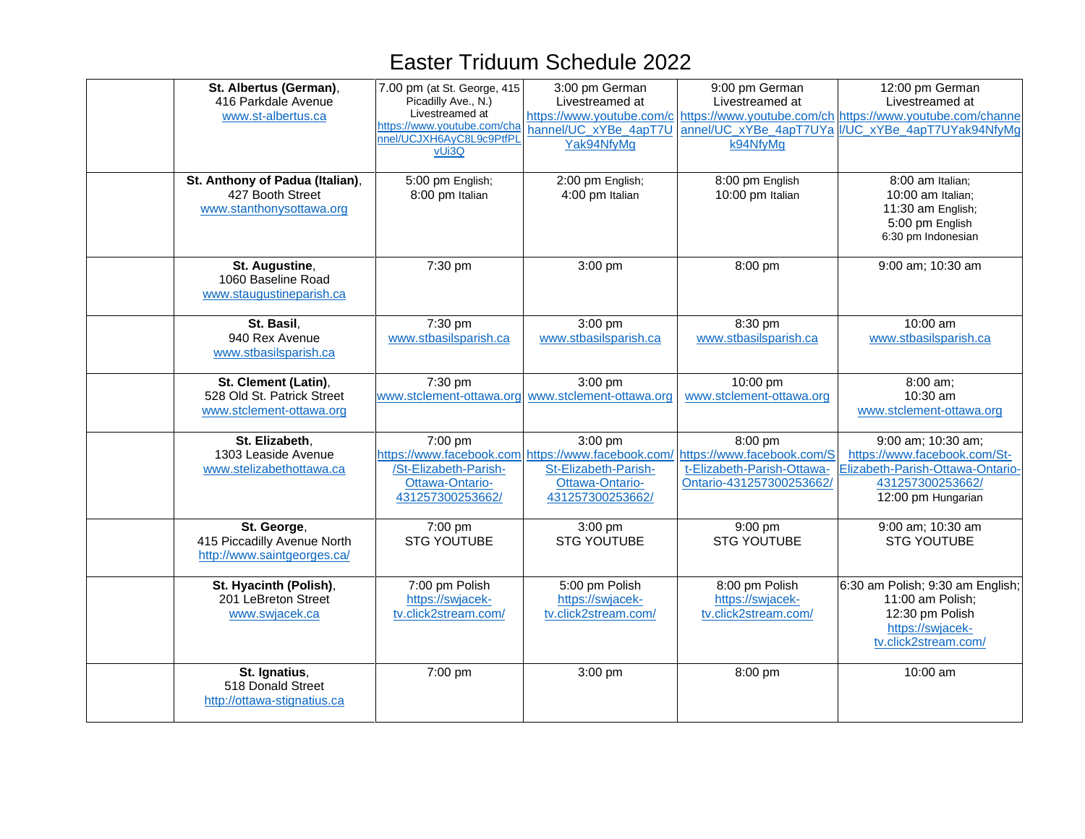| St. Albertus (German),<br>416 Parkdale Avenue<br>www.st-albertus.ca<br>St. Anthony of Padua (Italian),<br>427 Booth Street<br>www.stanthonysottawa.org | 7.00 pm (at St. George, 415<br>Picadilly Ave., N.)<br>Livestreamed at<br>https://www.youtube.com/cha<br>nnel/UCJXH6AyC8L9c9PtfPL<br>vUi3Q<br>5:00 pm English;<br>8:00 pm Italian | 3:00 pm German<br>Livestreamed at<br>https://www.youtube.com/c<br>hannel/UC xYBe 4apT7U<br>Yak94NfyMg<br>2:00 pm English;<br>4:00 pm Italian | 9:00 pm German<br>Livestreamed at<br>k94NfyMg<br>8:00 pm English<br>10:00 pm Italian            | 12:00 pm German<br>Livestreamed at<br>https://www.youtube.com/ch https://www.youtube.com/channe<br>annel/UC xYBe 4apT7UYa VUC xYBe 4apT7UYak94NfyMg<br>8:00 am Italian;<br>10:00 am Italian;<br>11:30 am English;<br>5:00 pm English<br>6:30 pm Indonesian |
|--------------------------------------------------------------------------------------------------------------------------------------------------------|----------------------------------------------------------------------------------------------------------------------------------------------------------------------------------|----------------------------------------------------------------------------------------------------------------------------------------------|-------------------------------------------------------------------------------------------------|------------------------------------------------------------------------------------------------------------------------------------------------------------------------------------------------------------------------------------------------------------|
| St. Augustine,<br>1060 Baseline Road<br>www.staugustineparish.ca                                                                                       | 7:30 pm                                                                                                                                                                          | 3:00 pm                                                                                                                                      | 8:00 pm                                                                                         | 9:00 am; 10:30 am                                                                                                                                                                                                                                          |
| St. Basil,<br>940 Rex Avenue<br>www.stbasilsparish.ca                                                                                                  | 7:30 pm<br>www.stbasilsparish.ca                                                                                                                                                 | 3:00 pm<br>www.stbasilsparish.ca                                                                                                             | 8:30 pm<br>www.stbasilsparish.ca                                                                | 10:00 am<br>www.stbasilsparish.ca                                                                                                                                                                                                                          |
| St. Clement (Latin),<br>528 Old St. Patrick Street<br>www.stclement-ottawa.org                                                                         | 7:30 pm                                                                                                                                                                          | 3:00 pm<br>www.stclement-ottawa.org www.stclement-ottawa.org                                                                                 | 10:00 pm<br>www.stclement-ottawa.org                                                            | 8:00 am;<br>10:30 am<br>www.stclement-ottawa.org                                                                                                                                                                                                           |
| St. Elizabeth,<br>1303 Leaside Avenue<br>www.stelizabethottawa.ca                                                                                      | 7:00 pm<br>/St-Elizabeth-Parish-<br>Ottawa-Ontario-<br>431257300253662/                                                                                                          | $3:00$ pm<br>https://www.facebook.com https://www.facebook.com/<br>St-Elizabeth-Parish-<br>Ottawa-Ontario-<br>431257300253662/               | 8:00 pm<br>https://www.facebook.com/S<br>t-Elizabeth-Parish-Ottawa-<br>Ontario-431257300253662/ | 9:00 am; 10:30 am;<br>https://www.facebook.com/St-<br>Elizabeth-Parish-Ottawa-Ontario-<br>431257300253662/<br>12:00 pm Hungarian                                                                                                                           |
| St. George,<br>415 Piccadilly Avenue North<br>http://www.saintgeorges.ca/                                                                              | 7:00 pm<br><b>STG YOUTUBE</b>                                                                                                                                                    | $3:00$ pm<br><b>STG YOUTUBE</b>                                                                                                              | $9:00$ pm<br><b>STG YOUTUBE</b>                                                                 | 9:00 am; 10:30 am<br><b>STG YOUTUBE</b>                                                                                                                                                                                                                    |
| St. Hyacinth (Polish),<br>201 LeBreton Street<br>www.swjacek.ca                                                                                        | 7:00 pm Polish<br>https://swjacek-<br>tv.click2stream.com/                                                                                                                       | 5:00 pm Polish<br>https://swjacek-<br>tv.click2stream.com/                                                                                   | 8:00 pm Polish<br>https://swjacek-<br>tv.click2stream.com/                                      | 6:30 am Polish; 9:30 am English;<br>11:00 am Polish;<br>12:30 pm Polish<br>https://swjacek-<br>tv.click2stream.com/                                                                                                                                        |
| St. Ignatius,<br>518 Donald Street<br>http://ottawa-stignatius.ca                                                                                      | 7:00 pm                                                                                                                                                                          | 3:00 pm                                                                                                                                      | 8:00 pm                                                                                         | 10:00 am                                                                                                                                                                                                                                                   |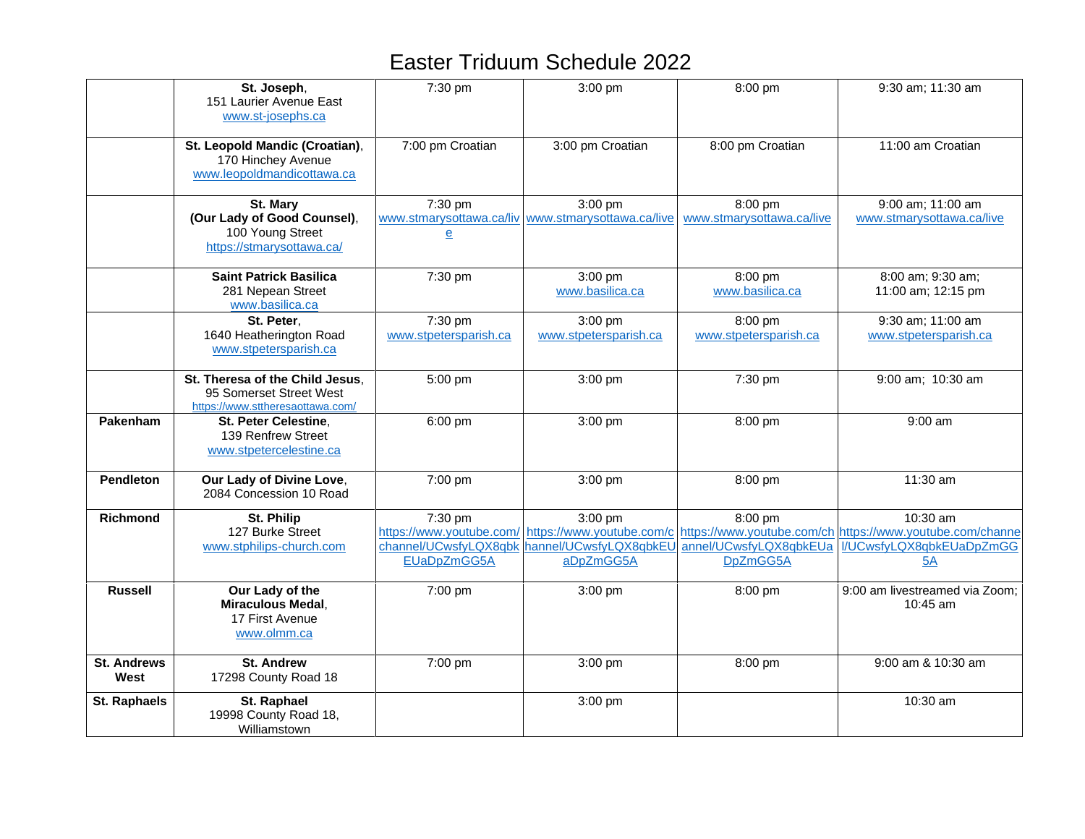|                            | St. Joseph,<br>151 Laurier Avenue East<br>www.st-josephs.ca                                    | 7:30 pm                                                                     | 3:00 pm                                                                     | 8:00 pm                                       | 9:30 am; 11:30 am                                                                                       |
|----------------------------|------------------------------------------------------------------------------------------------|-----------------------------------------------------------------------------|-----------------------------------------------------------------------------|-----------------------------------------------|---------------------------------------------------------------------------------------------------------|
|                            | St. Leopold Mandic (Croatian),<br>170 Hinchey Avenue<br>www.leopoldmandicottawa.ca             | 7:00 pm Croatian                                                            | 3:00 pm Croatian                                                            | 8:00 pm Croatian                              | 11:00 am Croatian                                                                                       |
|                            | St. Mary<br>(Our Lady of Good Counsel),<br>100 Young Street<br>https://stmarysottawa.ca/       | 7:30 pm<br>$\underline{\mathbf{e}}$                                         | 3:00 pm<br>www.stmarysottawa.ca/liv www.stmarysottawa.ca/live               | 8:00 pm<br>www.stmarysottawa.ca/live          | 9:00 am; 11:00 am<br>www.stmarysottawa.ca/live                                                          |
|                            | <b>Saint Patrick Basilica</b><br>281 Nepean Street<br>www.basilica.ca                          | 7:30 pm                                                                     | $3:00$ pm<br>www.basilica.ca                                                | 8:00 pm<br>www.basilica.ca                    | 8:00 am; 9:30 am;<br>11:00 am; 12:15 pm                                                                 |
|                            | St. Peter,<br>1640 Heatherington Road<br>www.stpetersparish.ca                                 | 7:30 pm<br>www.stpetersparish.ca                                            | 3:00 pm<br>www.stpetersparish.ca                                            | 8:00 pm<br>www.stpetersparish.ca              | 9:30 am; 11:00 am<br>www.stpetersparish.ca                                                              |
|                            | St. Theresa of the Child Jesus.<br>95 Somerset Street West<br>https://www.sttheresaottawa.com/ | 5:00 pm                                                                     | 3:00 pm                                                                     | 7:30 pm                                       | 9:00 am; 10:30 am                                                                                       |
| Pakenham                   | St. Peter Celestine,<br>139 Renfrew Street<br>www.stpetercelestine.ca                          | 6:00 pm                                                                     | 3:00 pm                                                                     | 8:00 pm                                       | $9:00$ am                                                                                               |
| <b>Pendleton</b>           | Our Lady of Divine Love,<br>2084 Concession 10 Road                                            | 7:00 pm                                                                     | 3:00 pm                                                                     | 8:00 pm                                       | 11:30 am                                                                                                |
| <b>Richmond</b>            | St. Philip<br>127 Burke Street<br>www.stphilips-church.com                                     | 7:30 pm<br>https://www.youtube.com/<br>channel/UCwsfyLQX8qbk<br>EUaDpZmGG5A | 3:00 pm<br>https://www.youtube.com/c<br>hannel/UCwsfyLQX8qbkEU<br>aDpZmGG5A | 8:00 pm<br>annel/UCwsfyLQX8qbkEUa<br>DpZmGG5A | 10:30 am<br>https://www.youtube.com/ch https://www.youtube.com/channe<br>I/UCwsfyLQX8qbkEUaDpZmGG<br>5A |
| <b>Russell</b>             | Our Lady of the<br><b>Miraculous Medal,</b><br>17 First Avenue<br>www.olmm.ca                  | 7:00 pm                                                                     | 3:00 pm                                                                     | 8:00 pm                                       | 9:00 am livestreamed via Zoom;<br>10:45 am                                                              |
| <b>St. Andrews</b><br>West | <b>St. Andrew</b><br>17298 County Road 18                                                      | 7:00 pm                                                                     | 3:00 pm                                                                     | 8:00 pm                                       | 9:00 am & 10:30 am                                                                                      |
| St. Raphaels               | St. Raphael<br>19998 County Road 18,<br>Williamstown                                           |                                                                             | 3:00 pm                                                                     |                                               | 10:30 am                                                                                                |